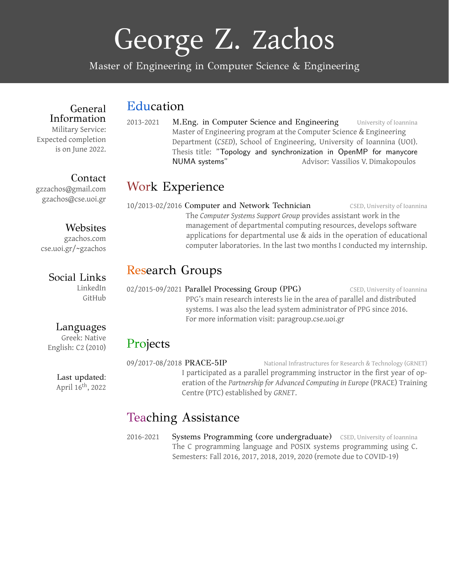# George Z. Zachos

Master of Engineering in Computer Science & Engineering

## Education

General Information Military Service: Expected completion is on June 2022.

2013-2021 M.Eng. in Computer Science and Engineering University of Ioannina Master of Engineering program at the Computer Science & [Engineering](https://www.cse.uoi.gr) [Department](https://www.cse.uoi.gr) (*CSED*), School of [Engineering,](https://engineering.uoi.gr/en/) [University](https://www.uoi.gr/) of Ioannina (UOI). Thesis title: "Topology and synchronization in OpenMP for manycore NUMA systems" Advisor: Vassilios V. [Dimakopoulos](https://www.cse.uoi.gr/~dimako/)

## Work Experience

10/2013-02/2016 Computer and Network Technician CSED, University of Ioannina The *Computer Systems Support Group* provides assistant work in the management of departmental computing resources, develops software applications for departmental use & aids in the operation of educational computer laboratories. In the last two months I conducted my internship.

# Research Groups

02/2015-09/2021 Parallel Processing Group (PPG) CSED, University of Ioannina PPG's main research interests lie in the area of parallel and distributed systems. I was also the lead system administrator of PPG since 2016. For more information visit: [paragroup.cse.uoi.gr](https://paragroup.cse.uoi.gr/wpsite/)

#### Projects

09/2017-08/2018 PRACE-5IP National Infrastructures for Research & Technology (GRNET) I participated as a parallel programming instructor in the first year of operation of the *[Partnership](https://prace-ri.eu/) for Advanced Computing in Europe* (PRACE) Training Centre (PTC) established by *[GRNET](https://grnet.gr/en/)*.

### Teaching Assistance

2016-2021 Systems Programming (core undergraduate) CSED, University of Ioannina The C programming language and POSIX systems programming using C. Semesters: Fall 2016, 2017, 2018, 2019, 2020 (remote due to COVID-19)

Contact [gzzachos@gmail.com](mailto:gzzachos@gmail.com) [gzachos@cse.uoi.gr](mailto:gzachos@cse.uoi.gr)

#### Websites

[gzachos.com](https://gzachos.com) [cse.uoi.gr/~gzachos](https://www.cse.uoi.gr/~gzachos)

#### Social Links

[LinkedIn](https://www.linkedin.com/in/gzzachos/) [GitHub](https://github.com/gzachos)

#### Languages

Greek: Native English: C2 (2010)

> Last updated: April 16<sup>th</sup>, 2022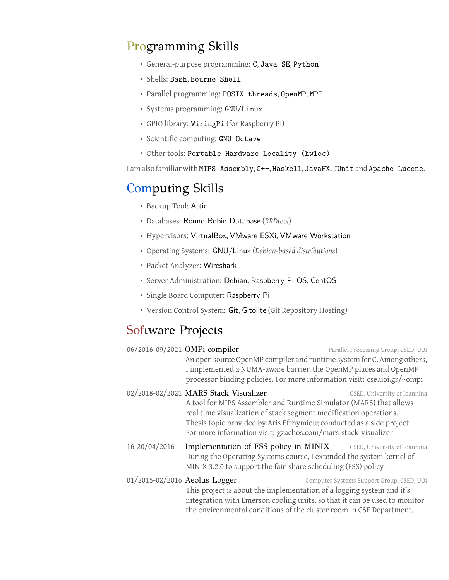# Programming Skills

- General-purpose programming: C, Java SE, Python
- Shells: Bash, Bourne Shell
- Parallel programming: POSIX threads, OpenMP, MPI
- Systems programming: GNU/Linux
- GPIO library: WiringPi (for Raspberry Pi)
- Scientific computing: GNU Octave
- Other tools: Portable Hardware Locality (hwloc)

I am also familiar with MIPS Assembly, C++, Haskell, JavaFX, JUnit and Apache Lucene.

# Computing Skills

- Backup Tool: Attic
- Databases: Round Robin Database (*RRDtool*)
- Hypervisors: VirtualBox, VMware ESXi, VMware Workstation
- Operating Systems: GNU/Linux (*Debian-based distributions*)
- Packet Analyzer: Wireshark
- Server Administration: Debian, Raspberry Pi OS, CentOS
- Single Board Computer: Raspberry Pi
- Version Control System: Git, Gitolite (Git Repository Hosting)

# Software Projects

|                               | 06/2016-09/2021 OMPi compiler<br>An open source OpenMP compiler and runtime system for C. Among others,<br>I implemented a NUMA-aware barrier, the OpenMP places and OpenMP<br>processor binding policies. For more information visit: cse.uoi.gr/~ompi                                                                    | Parallel Processing Group, CSED, UOI      |
|-------------------------------|----------------------------------------------------------------------------------------------------------------------------------------------------------------------------------------------------------------------------------------------------------------------------------------------------------------------------|-------------------------------------------|
|                               | 02/2018-02/2021 MARS Stack Visualizer<br>A tool for MIPS Assembler and Runtime Simulator (MARS) that allows<br>real time visualization of stack segment modification operations.<br>Thesis topic provided by Aris Efthymiou; conducted as a side project.<br>For more information visit: gzachos.com/mars-stack-visualizer | CSED, University of Ioannina              |
| 16-20/04/2016                 | Implementation of FSS policy in MINIX CSED, University of Ioannina<br>During the Operating Systems course, I extended the system kernel of<br>MINIX 3.2.0 to support the fair-share scheduling (FSS) policy.                                                                                                               |                                           |
| 01/2015-02/2016 Aeolus Logger | This project is about the implementation of a logging system and it's<br>integration with Emerson cooling units, so that it can be used to monitor<br>the environmental conditions of the cluster room in CSE Department.                                                                                                  | Computer Systems Support Group, CSED, UOI |